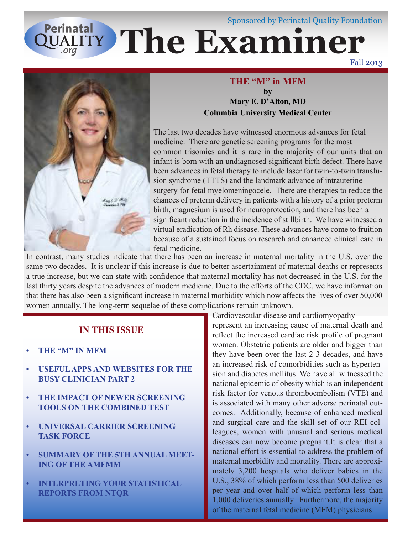# **QUALITY The Examiner** Sponsored by Perinatal Quality Foundation

Fall 2013



### **THE "M" in MFM by Mary E. D'Alton, MD Columbia University Medical Center**

The last two decades have witnessed enormous advances for fetal medicine. There are genetic screening programs for the most common trisomies and it is rare in the majority of our units that an infant is born with an undiagnosed significant birth defect. There have been advances in fetal therapy to include laser for twin-to-twin transfusion syndrome (TTTS) and the landmark advance of intrauterine surgery for fetal myelomeningocele. There are therapies to reduce the chances of preterm delivery in patients with a history of a prior preterm birth, magnesium is used for neuroprotection, and there has been a significant reduction in the incidence of stillbirth. We have witnessed a virtual eradication of Rh disease. These advances have come to fruition because of a sustained focus on research and enhanced clinical care in fetal medicine.

In contrast, many studies indicate that there has been an increase in maternal mortality in the U.S. over the same two decades. It is unclear if this increase is due to better ascertainment of maternal deaths or represents a true increase, but we can state with confidence that maternal mortality has not decreased in the U.S. for the last thirty years despite the advances of modern medicine. Due to the efforts of the CDC, we have information that there has also been a significant increase in maternal morbidity which now affects the lives of over 50,000 women annually. The long-term sequelae of these complications remain unknown.

## **IN THIS ISSUE**

- **• THE "M" IN MFM**
- **USEFUL APPS AND WEBSITES FOR THE BUSY CLINICIAN PART 2**
- **THE IMPACT OF NEWER SCREENING TOOLS ON THE COMBINED TEST**
- *UNIVERSAL CARRIER SCREENING* **TASK FORCE**
- **SUMMARY OF THE 5TH ANNUAL MEET-ING OF THE AMFMM**
- **• INTERPRETING YOUR STATISTICAL REPORTS FROM NTQR**

Cardiovascular disease and cardiomyopathy

represent an increasing cause of maternal death and reflect the increased cardiac risk profile of pregnant women. Obstetric patients are older and bigger than they have been over the last 2-3 decades, and have an increased risk of comorbidities such as hypertension and diabetes mellitus. We have all witnessed the national epidemic of obesity which is an independent risk factor for venous thromboembolism (VTE) and is associated with many other adverse perinatal outcomes. Additionally, because of enhanced medical and surgical care and the skill set of our REI colleagues, women with unusual and serious medical diseases can now become pregnant.It is clear that a national effort is essential to address the problem of maternal morbidity and mortality. There are approximately 3,200 hospitals who deliver babies in the U.S., 38% of which perform less than 500 deliveries per year and over half of which perform less than 1,000 deliveries annually. Furthermore, the majority of the maternal fetal medicine (MFM) physicians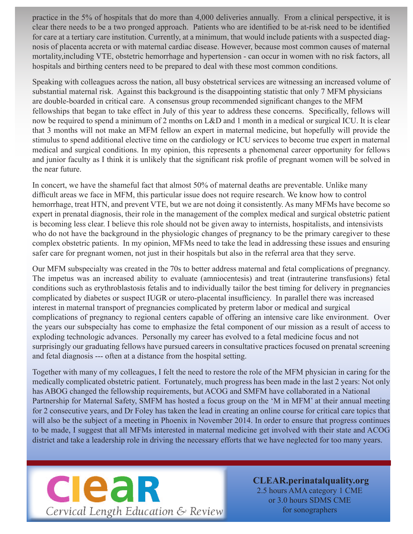practice in the 5% of hospitals that do more than 4,000 deliveries annually. From a clinical perspective, it is clear there needs to be a two pronged approach. Patients who are identified to be at-risk need to be identified for care at a tertiary care institution. Currently, at a minimum, that would include patients with a suspected diagnosis of placenta accreta or with maternal cardiac disease. However, because most common causes of maternal mortality,including VTE, obstetric hemorrhage and hypertension - can occur in women with no risk factors, all hospitals and birthing centers need to be prepared to deal with these most common conditions.

Speaking with colleagues across the nation, all busy obstetrical services are witnessing an increased volume of substantial maternal risk. Against this background is the disappointing statistic that only 7 MFM physicians are double-boarded in critical care. A consensus group recommended significant changes to the MFM fellowships that began to take effect in July of this year to address these concerns. Specifically, fellows will now be required to spend a minimum of 2 months on L&D and 1 month in a medical or surgical ICU. It is clear that 3 months will not make an MFM fellow an expert in maternal medicine, but hopefully will provide the stimulus to spend additional elective time on the cardiology or ICU services to become true expert in maternal medical and surgical conditions. In my opinion, this represents a phenomenal career opportunity for fellows and junior faculty as I think it is unlikely that the significant risk profile of pregnant women will be solved in the near future.

In concert, we have the shameful fact that almost 50% of maternal deaths are preventable. Unlike many difficult areas we face in MFM, this particular issue does not require research. We know how to control hemorrhage, treat HTN, and prevent VTE, but we are not doing it consistently. As many MFMs have become so expert in prenatal diagnosis, their role in the management of the complex medical and surgical obstetric patient is becoming less clear. I believe this role should not be given away to internists, hospitalists, and intensivists who do not have the background in the physiologic changes of pregnancy to be the primary caregiver to these complex obstetric patients. In my opinion, MFMs need to take the lead in addressing these issues and ensuring safer care for pregnant women, not just in their hospitals but also in the referral area that they serve.

Our MFM subspecialty was created in the 70s to better address maternal and fetal complications of pregnancy. The impetus was an increased ability to evaluate (amniocentesis) and treat (intrauterine transfusions) fetal conditions such as erythroblastosis fetalis and to individually tailor the best timing for delivery in pregnancies complicated by diabetes or suspect IUGR or utero-placental insufficiency. In parallel there was increased interest in maternal transport of pregnancies complicated by preterm labor or medical and surgical complications of pregnancy to regional centers capable of offering an intensive care like environment. Over the years our subspecialty has come to emphasize the fetal component of our mission as a result of access to exploding technologic advances. Personally my career has evolved to a fetal medicine focus and not surprisingly our graduating fellows have pursued careers in consultative practices focused on prenatal screening and fetal diagnosis --- often at a distance from the hospital setting.

Together with many of my colleagues, I felt the need to restore the role of the MFM physician in caring for the medically complicated obstetric patient. Fortunately, much progress has been made in the last 2 years: Not only has ABOG changed the fellowship requirements, but ACOG and SMFM have collaborated in a National Partnership for Maternal Safety, SMFM has hosted a focus group on the 'M in MFM' at their annual meeting for 2 consecutive years, and Dr Foley has taken the lead in creating an online course for critical care topics that will also be the subject of a meeting in Phoenix in November 2014. In order to ensure that progress continues to be made, I suggest that all MFMs interested in maternal medicine get involved with their state and ACOG district and take a leadership role in driving the necessary efforts that we have neglected for too many years.



**CLEAR.perinatalquality.org** 2.5 hours AMA category 1 CME or 3.0 hours SDMS CME for sonographers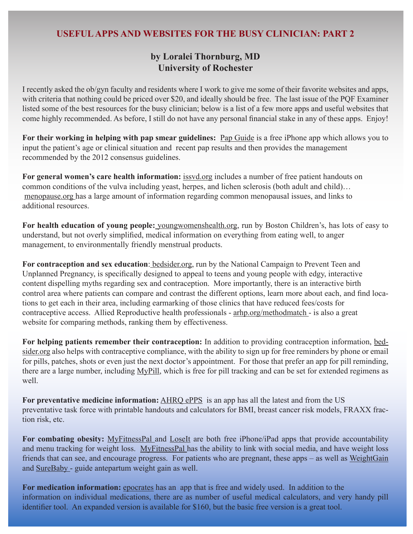## **USEFUL APPS AND WEBSITES FOR THE BUSY CLINICIAN: PART 2**

## **by Loralei Thornburg, MD University of Rochester**

I recently asked the ob/gyn faculty and residents where I work to give me some of their favorite websites and apps, with criteria that nothing could be priced over \$20, and ideally should be free. The last issue of the PQF Examiner listed some of the best resources for the busy clinician; below is a list of a few more apps and useful websites that come highly recommended. As before, I still do not have any personal financial stake in any of these apps. Enjoy!

**For their working in helping with pap smear guidelines:** Pap Guide is a free iPhone app which allows you to input the patient's age or clinical situation and recent pap results and then provides the management recommended by the 2012 consensus guidelines.

For general women's care health information: **issvd.org** includes a number of free patient handouts on common conditions of the vulva including yeast, herpes, and lichen sclerosis (both adult and child)… menopause.org has a large amount of information regarding common menopausal issues, and links to additional resources.

**For health education of young people:** youngwomenshealth.org, run by Boston Children's, has lots of easy to understand, but not overly simplified, medical information on everything from eating well, to anger management, to environmentally friendly menstrual products.

**For contraception and sex education**: bedsider.org, run by the National Campaign to Prevent Teen and Unplanned Pregnancy, is specifically designed to appeal to teens and young people with edgy, interactive content dispelling myths regarding sex and contraception. More importantly, there is an interactive birth control area where patients can compare and contrast the different options, learn more about each, and find locations to get each in their area, including earmarking of those clinics that have reduced fees/costs for contraceptive access. Allied Reproductive health professionals - arhp.org/methodmatch - is also a great website for comparing methods, ranking them by effectiveness.

**For helping patients remember their contraception:** In addition to providing contraception information, bedsider.org also helps with contraceptive compliance, with the ability to sign up for free reminders by phone or email for pills, patches, shots or even just the next doctor's appointment. For those that prefer an app for pill reminding, there are a large number, including MyPill, which is free for pill tracking and can be set for extended regimens as well.

**For preventative medicine information:** AHRQ ePPS is an app has all the latest and from the US preventative task force with printable handouts and calculators for BMI, breast cancer risk models, FRAXX fraction risk, etc.

For combating obesity: MyFitnessPal and LoseIt are both free iPhone/iPad apps that provide accountability and menu tracking for weight loss. MyFitnessPal has the ability to link with social media, and have weight loss friends that can see, and encourage progress. For patients who are pregnant, these apps – as well as WeightGain and SureBaby - guide antepartum weight gain as well.

**For medication information:** epocrates has an app that is free and widely used. In addition to the information on individual medications, there are as number of useful medical calculators, and very handy pill identifier tool. An expanded version is available for \$160, but the basic free version is a great tool.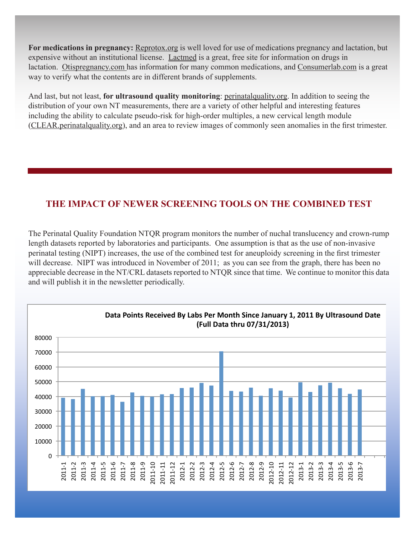**For medications in pregnancy:** Reprotox.org is well loved for use of medications pregnancy and lactation, but expensive without an institutional license. Lactmed is a great, free site for information on drugs in lactation. Otispregnancy.com has information for many common medications, and Consumerlab.com is a great way to verify what the contents are in different brands of supplements.

And last, but not least, **for ultrasound quality monitoring**: perinatalquality.org. In addition to seeing the distribution of your own NT measurements, there are a variety of other helpful and interesting features including the ability to calculate pseudo-risk for high-order multiples, a new cervical length module (CLEAR.perinatalquality.org), and an area to review images of commonly seen anomalies in the first trimester.

## **THE IMPACT OF NEWER SCREENING TOOLS ON THE COMBINED TEST**

The Perinatal Quality Foundation NTQR program monitors the number of nuchal translucency and crown-rump length datasets reported by laboratories and participants. One assumption is that as the use of non-invasive perinatal testing (NIPT) increases, the use of the combined test for aneuploidy screening in the first trimester will decrease. NIPT was introduced in November of 2011; as you can see from the graph, there has been no appreciable decrease in the NT/CRL datasets reported to NTQR since that time. We continue to monitor this data and will publish it in the newsletter periodically.

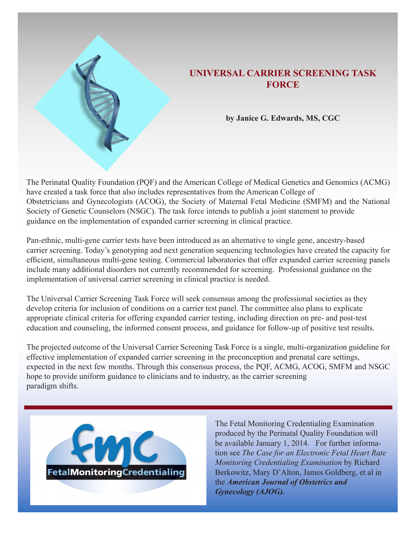

## **UNIVERSAL CARRIER SCREENING TASK FORCE**

**by Janice G. Edwards, MS, CGC**

The Perinatal Quality Foundation (PQF) and the American College of Medical Genetics and Genomics (ACMG) have created a task force that also includes representatives from the American College of Obstetricians and Gynecologists (ACOG), the Society of Maternal Fetal Medicine (SMFM) and the National Society of Genetic Counselors (NSGC). The task force intends to publish a joint statement to provide guidance on the implementation of expanded carrier screening in clinical practice.

Pan-ethnic, multi-gene carrier tests have been introduced as an alternative to single gene, ancestry-based carrier screening. Today's genotyping and next generation sequencing technologies have created the capacity for efficient, simultaneous multi-gene testing. Commercial laboratories that offer expanded carrier screening panels include many additional disorders not currently recommended for screening. Professional guidance on the implementation of universal carrier screening in clinical practice is needed.

The Universal Carrier Screening Task Force will seek consensus among the professional societies as they develop criteria for inclusion of conditions on a carrier test panel. The committee also plans to explicate appropriate clinical criteria for offering expanded carrier testing, including direction on pre- and post-test education and counseling, the informed consent process, and guidance for follow-up of positive test results.

The projected outcome of the Universal Carrier Screening Task Force is a single, multi-organization guideline for effective implementation of expanded carrier screening in the preconception and prenatal care settings, expected in the next few months. Through this consensus process, the PQF, ACMG, ACOG, SMFM and NSGC hope to provide uniform guidance to clinicians and to industry, as the carrier screening paradigm shifts.



The Fetal Monitoring Credentialing Examination produced by the Perinatal Quality Foundation will be available January 1, 2014. For further information see *The Case for an Electronic Fetal Heart Rate Monitoring Credentialing Examination* by Richard Berkowitz, Mary D'Alton, James Goldberg, et al in the *American Journal of Obstetrics and Gynecology (AJOG).*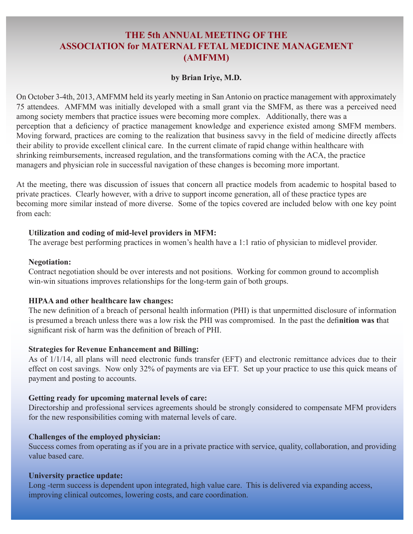## **THE 5th ANNUAL MEETING OF THE ASSOCIATION for MATERNAL FETAL MEDICINE MANAGEMENT (AMFMM)**

#### **by Brian Iriye, M.D.**

On October 3-4th, 2013, AMFMM held its yearly meeting in San Antonio on practice management with approximately 75 attendees. AMFMM was initially developed with a small grant via the SMFM, as there was a perceived need among society members that practice issues were becoming more complex. Additionally, there was a perception that a deficiency of practice management knowledge and experience existed among SMFM members. Moving forward, practices are coming to the realization that business savvy in the field of medicine directly affects their ability to provide excellent clinical care. In the current climate of rapid change within healthcare with shrinking reimbursements, increased regulation, and the transformations coming with the ACA, the practice managers and physician role in successful navigation of these changes is becoming more important.

At the meeting, there was discussion of issues that concern all practice models from academic to hospital based to private practices. Clearly however, with a drive to support income generation, all of these practice types are becoming more similar instead of more diverse. Some of the topics covered are included below with one key point from each:

#### **Utilization and coding of mid-level providers in MFM:**

The average best performing practices in women's health have a 1:1 ratio of physician to midlevel provider.

#### **Negotiation:**

Contract negotiation should be over interests and not positions. Working for common ground to accomplish win-win situations improves relationships for the long-term gain of both groups.

#### **HIPAA and other healthcare law changes:**

The new definition of a breach of personal health information (PHI) is that unpermitted disclosure of information is presumed a breach unless there was a low risk the PHI was compromised. In the past the defi**nition was t**hat significant risk of harm was the definition of breach of PHI.

#### **Strategies for Revenue Enhancement and Billing:**

As of 1/1/14, all plans will need electronic funds transfer (EFT) and electronic remittance advices due to their effect on cost savings. Now only 32% of payments are via EFT. Set up your practice to use this quick means of payment and posting to accounts.

#### **Getting ready for upcoming maternal levels of care:**

Directorship and professional services agreements should be strongly considered to compensate MFM providers for the new responsibilities coming with maternal levels of care.

#### **Challenges of the employed physician:**

Success comes from operating as if you are in a private practice with service, quality, collaboration, and providing value based care.

#### **University practice update:**

Long -term success is dependent upon integrated, high value care. This is delivered via expanding access, improving clinical outcomes, lowering costs, and care coordination.